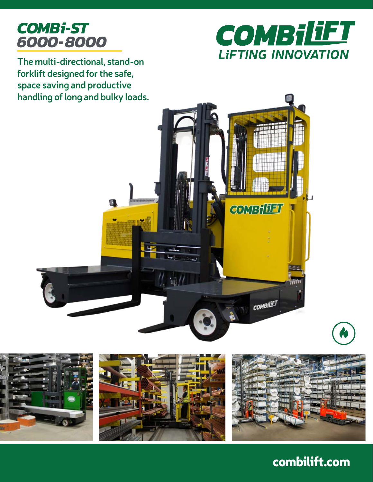# *COMBi-ST 6000-8000*



**The multi-directional, stand-on forklift designed for the safe, space saving and productive handling of long and bulky loads.**





## combilift.com